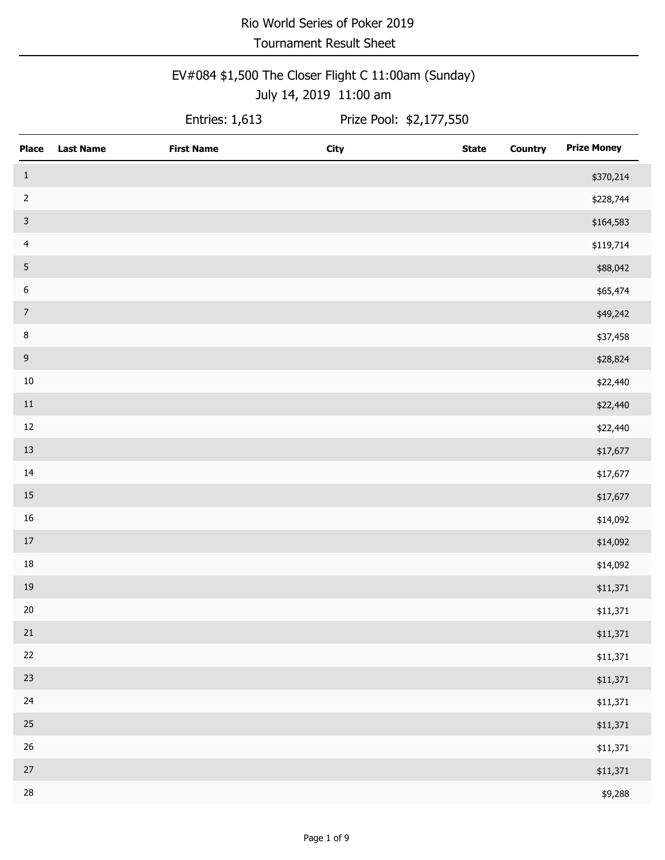Tournament Result Sheet

### EV#084 \$1,500 The Closer Flight C 11:00am (Sunday) July 14, 2019 11:00 am

Entries:  $1,613$ 

| <b>Place</b>     | <b>Last Name</b> | <b>First Name</b> | <b>City</b> | <b>State</b> | <b>Country</b> | <b>Prize Money</b> |
|------------------|------------------|-------------------|-------------|--------------|----------------|--------------------|
| $\,$ 1           |                  |                   |             |              |                | \$370,214          |
| $\sqrt{2}$       |                  |                   |             |              |                | \$228,744          |
| $\mathbf{3}$     |                  |                   |             |              |                | \$164,583          |
| $\overline{4}$   |                  |                   |             |              |                | \$119,714          |
| 5                |                  |                   |             |              |                | \$88,042           |
| $\boldsymbol{6}$ |                  |                   |             |              |                | \$65,474           |
| $\overline{7}$   |                  |                   |             |              |                | \$49,242           |
| $\,8\,$          |                  |                   |             |              |                | \$37,458           |
| $9\,$            |                  |                   |             |              |                | \$28,824           |
| $10\,$           |                  |                   |             |              |                | \$22,440           |
| $11\,$           |                  |                   |             |              |                | \$22,440           |
| $12\,$           |                  |                   |             |              |                | \$22,440           |
| 13               |                  |                   |             |              |                | \$17,677           |
| $14\,$           |                  |                   |             |              |                | \$17,677           |
| $15\,$           |                  |                   |             |              |                | \$17,677           |
| 16               |                  |                   |             |              |                | \$14,092           |
| $17\,$           |                  |                   |             |              |                | \$14,092           |
| 18               |                  |                   |             |              |                | \$14,092           |
| 19               |                  |                   |             |              |                | \$11,371           |
| $20\,$           |                  |                   |             |              |                | \$11,371           |
| $21\,$           |                  |                   |             |              |                | \$11,371           |
| $22\,$           |                  |                   |             |              |                | \$11,371           |
| 23               |                  |                   |             |              |                | \$11,371           |
| 24               |                  |                   |             |              |                | \$11,371           |
| $25\,$           |                  |                   |             |              |                | \$11,371           |
| $26\,$           |                  |                   |             |              |                | \$11,371           |
| $27\,$           |                  |                   |             |              |                | \$11,371           |
| 28               |                  |                   |             |              |                | \$9,288            |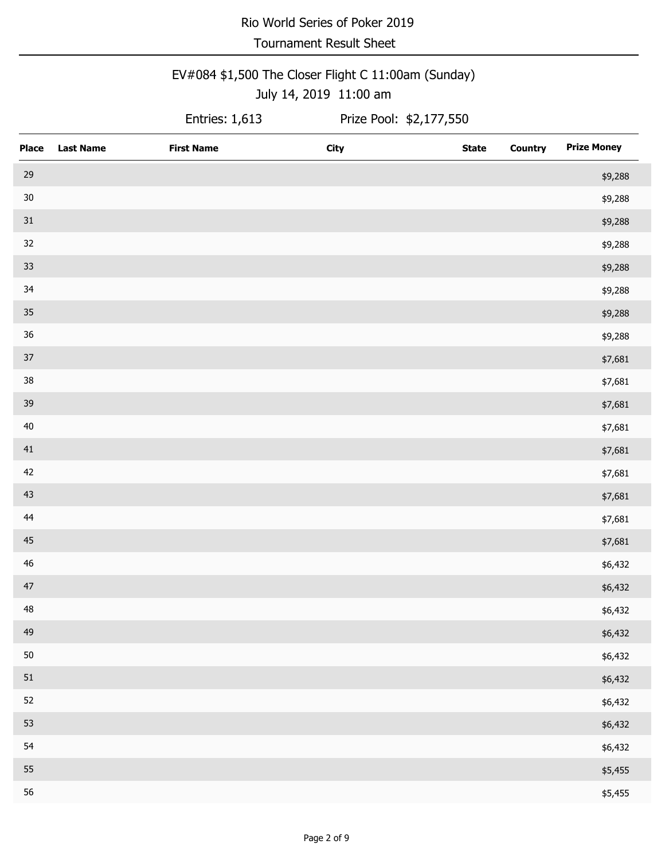Tournament Result Sheet

### EV#084 \$1,500 The Closer Flight C 11:00am (Sunday) July 14, 2019 11:00 am

Entries:  $1,613$ 

| <b>Place</b> | <b>Last Name</b> | <b>First Name</b> | <b>City</b> | <b>State</b> | <b>Country</b> | <b>Prize Money</b> |
|--------------|------------------|-------------------|-------------|--------------|----------------|--------------------|
| 29           |                  |                   |             |              |                | \$9,288            |
| $30\,$       |                  |                   |             |              |                | \$9,288            |
| $31\,$       |                  |                   |             |              |                | \$9,288            |
| 32           |                  |                   |             |              |                | \$9,288            |
| 33           |                  |                   |             |              |                | \$9,288            |
| 34           |                  |                   |             |              |                | \$9,288            |
| $35\,$       |                  |                   |             |              |                | \$9,288            |
| $36\,$       |                  |                   |             |              |                | \$9,288            |
| 37           |                  |                   |             |              |                | \$7,681            |
| $38\,$       |                  |                   |             |              |                | \$7,681            |
| 39           |                  |                   |             |              |                | \$7,681            |
| $40\,$       |                  |                   |             |              |                | \$7,681            |
| 41           |                  |                   |             |              |                | \$7,681            |
| 42           |                  |                   |             |              |                | \$7,681            |
| 43           |                  |                   |             |              |                | \$7,681            |
| 44           |                  |                   |             |              |                | \$7,681            |
| 45           |                  |                   |             |              |                | \$7,681            |
| $46\,$       |                  |                   |             |              |                | \$6,432            |
| 47           |                  |                   |             |              |                | \$6,432            |
| 48           |                  |                   |             |              |                | \$6,432            |
| 49           |                  |                   |             |              |                | \$6,432            |
| 50           |                  |                   |             |              |                | \$6,432            |
| $51\,$       |                  |                   |             |              |                | \$6,432            |
| 52           |                  |                   |             |              |                | \$6,432            |
| 53           |                  |                   |             |              |                | \$6,432            |
| 54           |                  |                   |             |              |                | \$6,432            |
| 55           |                  |                   |             |              |                | \$5,455            |
| 56           |                  |                   |             |              |                | \$5,455            |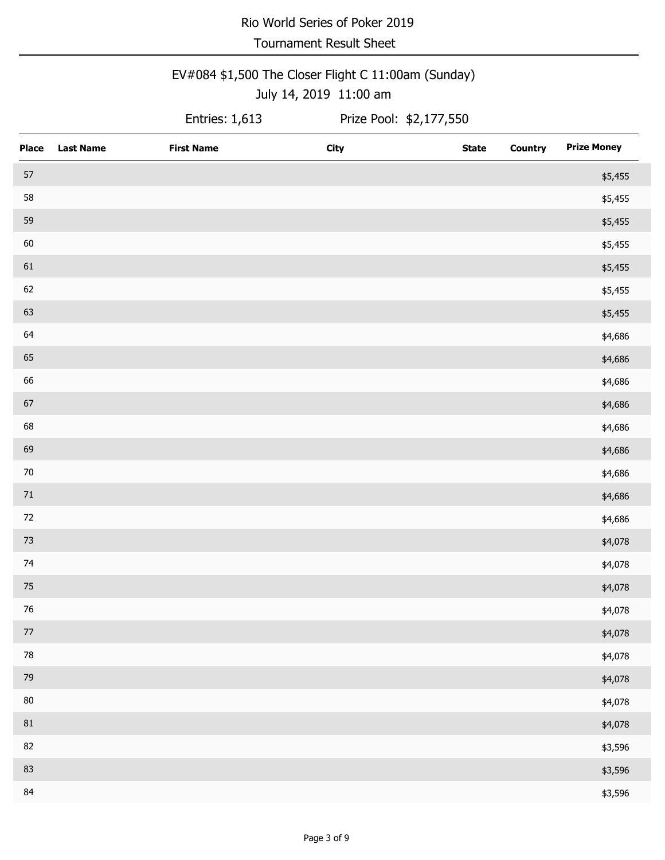Tournament Result Sheet

#### EV#084 \$1,500 The Closer Flight C 11:00am (Sunday) July 14, 2019 11:00 am

Entries:  $1,613$ 

| <b>Place</b> | <b>Last Name</b> | <b>First Name</b> | <b>City</b> | <b>State</b> | <b>Country</b> | <b>Prize Money</b> |
|--------------|------------------|-------------------|-------------|--------------|----------------|--------------------|
| 57           |                  |                   |             |              |                | \$5,455            |
| 58           |                  |                   |             |              |                | \$5,455            |
| 59           |                  |                   |             |              |                | \$5,455            |
| 60           |                  |                   |             |              |                | \$5,455            |
| 61           |                  |                   |             |              |                | \$5,455            |
| 62           |                  |                   |             |              |                | \$5,455            |
| 63           |                  |                   |             |              |                | \$5,455            |
| 64           |                  |                   |             |              |                | \$4,686            |
| 65           |                  |                   |             |              |                | \$4,686            |
| 66           |                  |                   |             |              |                | \$4,686            |
| $67\,$       |                  |                   |             |              |                | \$4,686            |
| 68           |                  |                   |             |              |                | \$4,686            |
| 69           |                  |                   |             |              |                | \$4,686            |
| $70\,$       |                  |                   |             |              |                | \$4,686            |
| $71\,$       |                  |                   |             |              |                | \$4,686            |
| $72\,$       |                  |                   |             |              |                | \$4,686            |
| $73\,$       |                  |                   |             |              |                | \$4,078            |
| 74           |                  |                   |             |              |                | \$4,078            |
| 75           |                  |                   |             |              |                | \$4,078            |
| $76\,$       |                  |                   |             |              |                | \$4,078            |
| $77\,$       |                  |                   |             |              |                | \$4,078            |
| $78\,$       |                  |                   |             |              |                | \$4,078            |
| 79           |                  |                   |             |              |                | \$4,078            |
| $80\,$       |                  |                   |             |              |                | \$4,078            |
| 81           |                  |                   |             |              |                | \$4,078            |
| 82           |                  |                   |             |              |                | \$3,596            |
| 83           |                  |                   |             |              |                | \$3,596            |
| 84           |                  |                   |             |              |                | \$3,596            |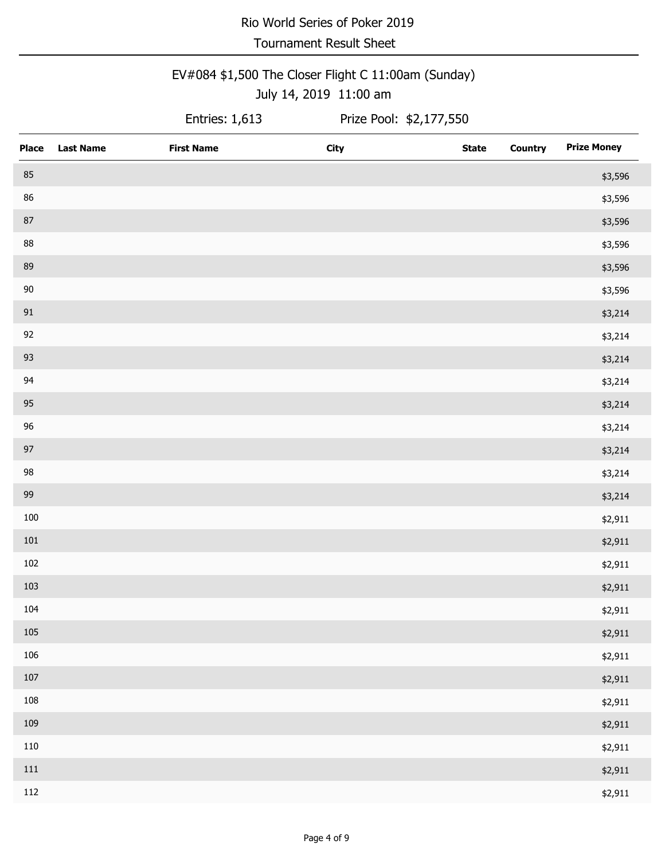Tournament Result Sheet

#### EV#084 \$1,500 The Closer Flight C 11:00am (Sunday) July 14, 2019 11:00 am

Entries:  $1,613$ 

| Place   | <b>Last Name</b> | <b>First Name</b> | <b>City</b> | <b>State</b> | <b>Country</b> | <b>Prize Money</b> |
|---------|------------------|-------------------|-------------|--------------|----------------|--------------------|
| 85      |                  |                   |             |              |                | \$3,596            |
| 86      |                  |                   |             |              |                | \$3,596            |
| $87\,$  |                  |                   |             |              |                | \$3,596            |
| 88      |                  |                   |             |              |                | \$3,596            |
| 89      |                  |                   |             |              |                | \$3,596            |
| $90\,$  |                  |                   |             |              |                | \$3,596            |
| $91\,$  |                  |                   |             |              |                | \$3,214            |
| 92      |                  |                   |             |              |                | \$3,214            |
| 93      |                  |                   |             |              |                | \$3,214            |
| 94      |                  |                   |             |              |                | \$3,214            |
| 95      |                  |                   |             |              |                | \$3,214            |
| 96      |                  |                   |             |              |                | \$3,214            |
| 97      |                  |                   |             |              |                | \$3,214            |
| 98      |                  |                   |             |              |                | \$3,214            |
| 99      |                  |                   |             |              |                | \$3,214            |
| $100\,$ |                  |                   |             |              |                | \$2,911            |
| 101     |                  |                   |             |              |                | \$2,911            |
| 102     |                  |                   |             |              |                | \$2,911            |
| 103     |                  |                   |             |              |                | \$2,911            |
| 104     |                  |                   |             |              |                | \$2,911            |
| $105\,$ |                  |                   |             |              |                | \$2,911            |
| 106     |                  |                   |             |              |                | \$2,911            |
| $107\,$ |                  |                   |             |              |                | \$2,911            |
| 108     |                  |                   |             |              |                | \$2,911            |
| 109     |                  |                   |             |              |                | \$2,911            |
| $110\,$ |                  |                   |             |              |                | \$2,911            |
| $111\,$ |                  |                   |             |              |                | \$2,911            |
| 112     |                  |                   |             |              |                | \$2,911            |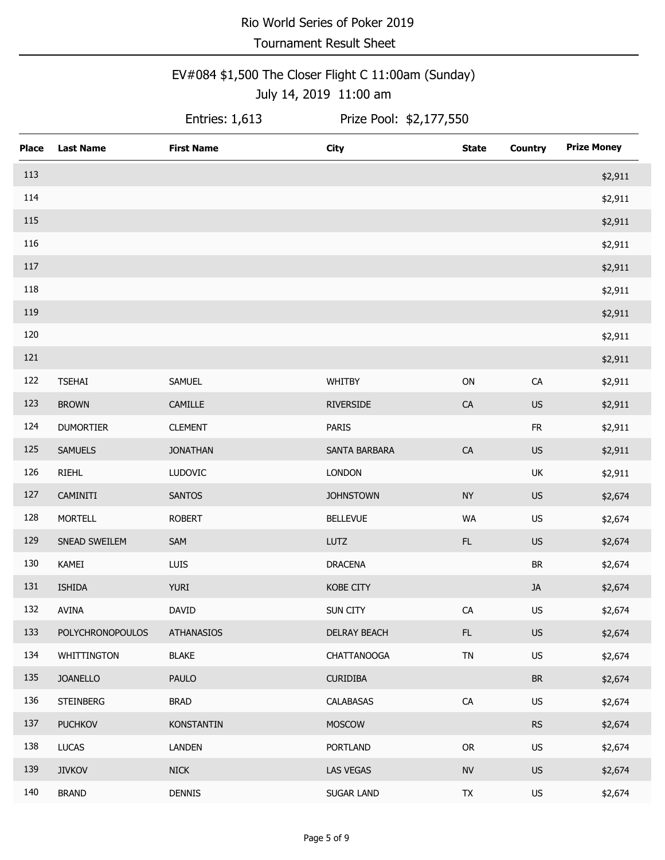Tournament Result Sheet

#### EV#084 \$1,500 The Closer Flight C 11:00am (Sunday) July 14, 2019 11:00 am

Entries:  $1,613$ 

| <b>Place</b> | <b>Last Name</b> | <b>First Name</b> | <b>City</b>        | <b>State</b>  | <b>Country</b>                    | <b>Prize Money</b> |
|--------------|------------------|-------------------|--------------------|---------------|-----------------------------------|--------------------|
| 113          |                  |                   |                    |               |                                   | \$2,911            |
| 114          |                  |                   |                    |               |                                   | \$2,911            |
| 115          |                  |                   |                    |               |                                   | \$2,911            |
| 116          |                  |                   |                    |               |                                   | \$2,911            |
| 117          |                  |                   |                    |               |                                   | \$2,911            |
| 118          |                  |                   |                    |               |                                   | \$2,911            |
| 119          |                  |                   |                    |               |                                   | \$2,911            |
| 120          |                  |                   |                    |               |                                   | \$2,911            |
| 121          |                  |                   |                    |               |                                   | \$2,911            |
| 122          | <b>TSEHAI</b>    | SAMUEL            | WHITBY             | $\mathsf{ON}$ | ${\sf CA}$                        | \$2,911            |
| 123          | <b>BROWN</b>     | CAMILLE           | <b>RIVERSIDE</b>   | ${\sf CA}$    | US                                | \$2,911            |
| 124          | <b>DUMORTIER</b> | <b>CLEMENT</b>    | <b>PARIS</b>       |               | ${\sf FR}$                        | \$2,911            |
| 125          | <b>SAMUELS</b>   | <b>JONATHAN</b>   | SANTA BARBARA      | ${\sf CA}$    | US                                | \$2,911            |
| 126          | <b>RIEHL</b>     | LUDOVIC           | <b>LONDON</b>      |               | UK                                | \$2,911            |
| 127          | CAMINITI         | <b>SANTOS</b>     | <b>JOHNSTOWN</b>   | <b>NY</b>     | US                                | \$2,674            |
| 128          | <b>MORTELL</b>   | <b>ROBERT</b>     | <b>BELLEVUE</b>    | <b>WA</b>     | US                                | \$2,674            |
| 129          | SNEAD SWEILEM    | SAM               | <b>LUTZ</b>        | FL            | US                                | \$2,674            |
| 130          | KAMEI            | LUIS              | <b>DRACENA</b>     |               | $\ensuremath{\mathsf{BR}}\xspace$ | \$2,674            |
| 131          | <b>ISHIDA</b>    | <b>YURI</b>       | <b>KOBE CITY</b>   |               | JA                                | \$2,674            |
| 132          | <b>AVINA</b>     | DAVID             | SUN CITY           | ${\sf CA}$    | US                                | \$2,674            |
| 133          | POLYCHRONOPOULOS | <b>ATHANASIOS</b> | DELRAY BEACH       | FL.           | <b>US</b>                         | \$2,674            |
| 134          | WHITTINGTON      | <b>BLAKE</b>      | <b>CHATTANOOGA</b> | ${\sf TN}$    | US                                | \$2,674            |
| 135          | <b>JOANELLO</b>  | <b>PAULO</b>      | <b>CURIDIBA</b>    |               | BR                                | \$2,674            |
| 136          | <b>STEINBERG</b> | <b>BRAD</b>       | CALABASAS          | ${\sf CA}$    | US                                | \$2,674            |
| 137          | <b>PUCHKOV</b>   | <b>KONSTANTIN</b> | <b>MOSCOW</b>      |               | RS                                | \$2,674            |
| 138          | <b>LUCAS</b>     | <b>LANDEN</b>     | <b>PORTLAND</b>    | ${\sf OR}$    | US                                | \$2,674            |
| 139          | <b>JIVKOV</b>    | <b>NICK</b>       | LAS VEGAS          | ${\sf NV}$    | <b>US</b>                         | \$2,674            |
| 140          | <b>BRAND</b>     | <b>DENNIS</b>     | SUGAR LAND         | TX            | US                                | \$2,674            |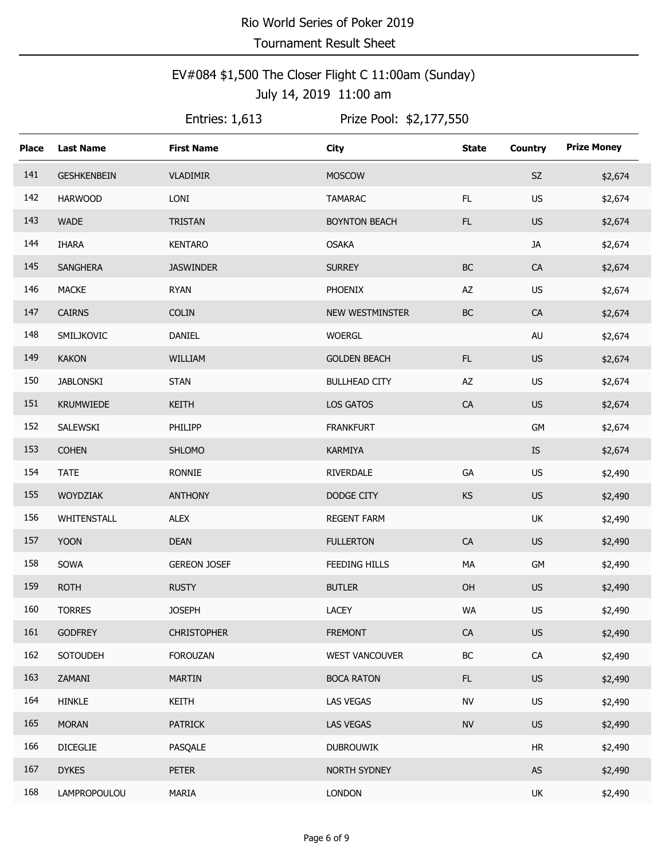### EV#084 \$1,500 The Closer Flight C 11:00am (Sunday) July 14, 2019 11:00 am

Entries:  $1,613$ 

| <b>Place</b> | <b>Last Name</b>   | <b>First Name</b>   | <b>City</b>          | <b>State</b> | <b>Country</b> | <b>Prize Money</b> |
|--------------|--------------------|---------------------|----------------------|--------------|----------------|--------------------|
| 141          | <b>GESHKENBEIN</b> | <b>VLADIMIR</b>     | <b>MOSCOW</b>        |              | SZ             | \$2,674            |
| 142          | <b>HARWOOD</b>     | LONI                | <b>TAMARAC</b>       | FL           | <b>US</b>      | \$2,674            |
| 143          | <b>WADE</b>        | TRISTAN             | <b>BOYNTON BEACH</b> | FL           | US             | \$2,674            |
| 144          | <b>IHARA</b>       | <b>KENTARO</b>      | <b>OSAKA</b>         |              | JA             | \$2,674            |
| 145          | <b>SANGHERA</b>    | <b>JASWINDER</b>    | <b>SURREY</b>        | $\sf BC$     | CA             | \$2,674            |
| 146          | <b>MACKE</b>       | <b>RYAN</b>         | PHOENIX              | AZ           | <b>US</b>      | \$2,674            |
| 147          | <b>CAIRNS</b>      | <b>COLIN</b>        | NEW WESTMINSTER      | $\sf BC$     | ${\sf CA}$     | \$2,674            |
| 148          | SMILJKOVIC         | DANIEL              | <b>WOERGL</b>        |              | AU             | \$2,674            |
| 149          | <b>KAKON</b>       | WILLIAM             | <b>GOLDEN BEACH</b>  | FL           | <b>US</b>      | \$2,674            |
| 150          | <b>JABLONSKI</b>   | <b>STAN</b>         | <b>BULLHEAD CITY</b> | AZ           | <b>US</b>      | \$2,674            |
| 151          | <b>KRUMWIEDE</b>   | KEITH               | LOS GATOS            | CA           | <b>US</b>      | \$2,674            |
| 152          | SALEWSKI           | PHILIPP             | <b>FRANKFURT</b>     |              | GM             | \$2,674            |
| 153          | <b>COHEN</b>       | <b>SHLOMO</b>       | KARMIYA              |              | IS             | \$2,674            |
| 154          | <b>TATE</b>        | <b>RONNIE</b>       | <b>RIVERDALE</b>     | GA           | <b>US</b>      | \$2,490            |
| 155          | WOYDZIAK           | <b>ANTHONY</b>      | DODGE CITY           | KS           | <b>US</b>      | \$2,490            |
| 156          | WHITENSTALL        | <b>ALEX</b>         | <b>REGENT FARM</b>   |              | UK             | \$2,490            |
| 157          | <b>YOON</b>        | <b>DEAN</b>         | <b>FULLERTON</b>     | ${\sf CA}$   | <b>US</b>      | \$2,490            |
| 158          | SOWA               | <b>GEREON JOSEF</b> | <b>FEEDING HILLS</b> | MA           | GM             | \$2,490            |
| 159          | <b>ROTH</b>        | <b>RUSTY</b>        | <b>BUTLER</b>        | OH           | <b>US</b>      | \$2,490            |
| 160          | <b>TORRES</b>      | <b>JOSEPH</b>       | LACEY                | WA           | US             | \$2,490            |
| 161          | <b>GODFREY</b>     | <b>CHRISTOPHER</b>  | <b>FREMONT</b>       | CA           | <b>US</b>      | \$2,490            |
| 162          | <b>SOTOUDEH</b>    | <b>FOROUZAN</b>     | WEST VANCOUVER       | $\sf BC$     | ${\sf CA}$     | \$2,490            |
| 163          | ZAMANI             | <b>MARTIN</b>       | <b>BOCA RATON</b>    | FL.          | <b>US</b>      | \$2,490            |
| 164          | <b>HINKLE</b>      | <b>KEITH</b>        | LAS VEGAS            | <b>NV</b>    | <b>US</b>      | \$2,490            |
| 165          | <b>MORAN</b>       | <b>PATRICK</b>      | <b>LAS VEGAS</b>     | ${\sf NV}$   | <b>US</b>      | \$2,490            |
| 166          | <b>DICEGLIE</b>    | PASQALE             | <b>DUBROUWIK</b>     |              | ${\sf HR}$     | \$2,490            |
| 167          | <b>DYKES</b>       | <b>PETER</b>        | NORTH SYDNEY         |              | AS             | \$2,490            |
| 168          | LAMPROPOULOU       | MARIA               | <b>LONDON</b>        |              | UK             | \$2,490            |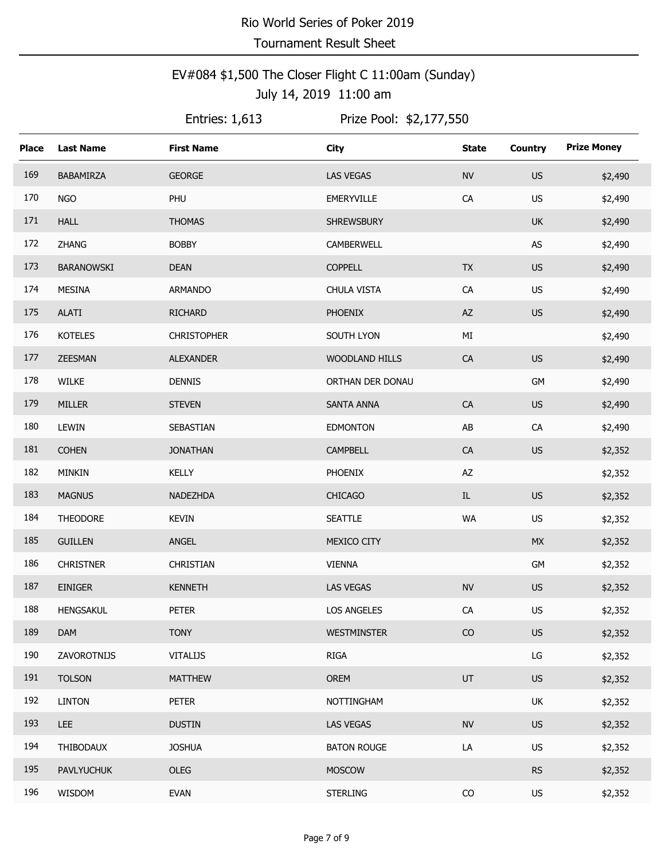### EV#084 \$1,500 The Closer Flight C 11:00am (Sunday) July 14, 2019 11:00 am

Entries:  $1,613$ 

| <b>Place</b> | <b>Last Name</b>  | <b>First Name</b>  | <b>City</b>        | <b>State</b>  | <b>Country</b>         | <b>Prize Money</b> |
|--------------|-------------------|--------------------|--------------------|---------------|------------------------|--------------------|
| 169          | BABAMIRZA         | <b>GEORGE</b>      | <b>LAS VEGAS</b>   | <b>NV</b>     | <b>US</b>              | \$2,490            |
| 170          | <b>NGO</b>        | PHU                | EMERYVILLE         | ${\sf CA}$    | <b>US</b>              | \$2,490            |
| 171          | <b>HALL</b>       | <b>THOMAS</b>      | <b>SHREWSBURY</b>  |               | <b>UK</b>              | \$2,490            |
| 172          | ZHANG             | <b>BOBBY</b>       | CAMBERWELL         |               | AS                     | \$2,490            |
| 173          | <b>BARANOWSKI</b> | <b>DEAN</b>        | <b>COPPELL</b>     | <b>TX</b>     | <b>US</b>              | \$2,490            |
| 174          | <b>MESINA</b>     | ARMANDO            | CHULA VISTA        | ${\sf CA}$    | <b>US</b>              | \$2,490            |
| 175          | <b>ALATI</b>      | <b>RICHARD</b>     | <b>PHOENIX</b>     | $\mathsf{AZ}$ | US                     | \$2,490            |
| 176          | <b>KOTELES</b>    | <b>CHRISTOPHER</b> | SOUTH LYON         | MI            |                        | \$2,490            |
| 177          | ZEESMAN           | <b>ALEXANDER</b>   | WOODLAND HILLS     | CA            | <b>US</b>              | \$2,490            |
| 178          | <b>WILKE</b>      | <b>DENNIS</b>      | ORTHAN DER DONAU   |               | GM                     | \$2,490            |
| 179          | <b>MILLER</b>     | <b>STEVEN</b>      | SANTA ANNA         | ${\sf CA}$    | US                     | \$2,490            |
| 180          | LEWIN             | SEBASTIAN          | <b>EDMONTON</b>    | AB            | CA                     | \$2,490            |
| 181          | <b>COHEN</b>      | <b>JONATHAN</b>    | CAMPBELL           | CA            | <b>US</b>              | \$2,352            |
| 182          | MINKIN            | <b>KELLY</b>       | PHOENIX            | AZ            |                        | \$2,352            |
| 183          | <b>MAGNUS</b>     | NADEZHDA           | <b>CHICAGO</b>     | $\rm IL$      | <b>US</b>              | \$2,352            |
| 184          | <b>THEODORE</b>   | <b>KEVIN</b>       | <b>SEATTLE</b>     | WA            | US                     | \$2,352            |
| 185          | <b>GUILLEN</b>    | ANGEL              | MEXICO CITY        |               | <b>MX</b>              | \$2,352            |
| 186          | <b>CHRISTNER</b>  | CHRISTIAN          | <b>VIENNA</b>      |               | GM                     | \$2,352            |
| 187          | <b>EINIGER</b>    | <b>KENNETH</b>     | LAS VEGAS          | <b>NV</b>     | <b>US</b>              | \$2,352            |
| 188          | <b>HENGSAKUL</b>  | <b>PETER</b>       | <b>LOS ANGELES</b> | ${\sf CA}$    | US                     | \$2,352            |
| 189          | <b>DAM</b>        | <b>TONY</b>        | <b>WESTMINSTER</b> | CO            | <b>US</b>              | \$2,352            |
| 190          | ZAVOROTNIJS       | <b>VITALIJS</b>    | RIGA               |               | $\mathsf{L}\mathsf{G}$ | \$2,352            |
| 191          | <b>TOLSON</b>     | <b>MATTHEW</b>     | OREM               | UT            | <b>US</b>              | \$2,352            |
| 192          | <b>LINTON</b>     | <b>PETER</b>       | NOTTINGHAM         |               | UK                     | \$2,352            |
| 193          | <b>LEE</b>        | <b>DUSTIN</b>      | <b>LAS VEGAS</b>   | <b>NV</b>     | <b>US</b>              | \$2,352            |
| 194          | THIBODAUX         | <b>JOSHUA</b>      | <b>BATON ROUGE</b> | LA            | US                     | \$2,352            |
| 195          | <b>PAVLYUCHUK</b> | OLEG               | <b>MOSCOW</b>      |               | <b>RS</b>              | \$2,352            |
| 196          | WISDOM            | <b>EVAN</b>        | <b>STERLING</b>    | CO            | <b>US</b>              | \$2,352            |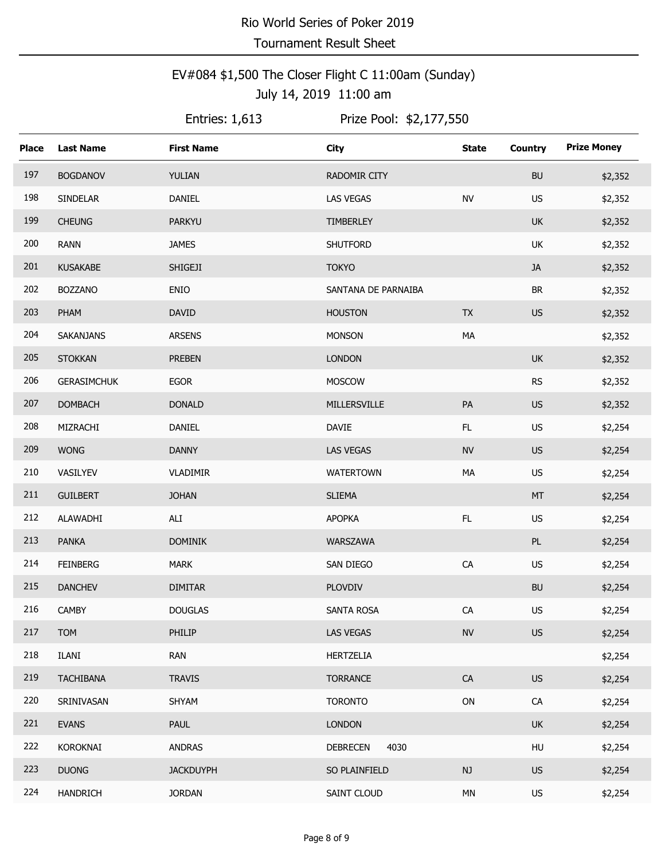### EV#084 \$1,500 The Closer Flight C 11:00am (Sunday) July 14, 2019 11:00 am

Entries:  $1,613$ 

| <b>Place</b> | <b>Last Name</b>   | <b>First Name</b> | <b>City</b>             | <b>State</b> | <b>Country</b>                    | <b>Prize Money</b> |
|--------------|--------------------|-------------------|-------------------------|--------------|-----------------------------------|--------------------|
| 197          | <b>BOGDANOV</b>    | YULIAN            | RADOMIR CITY            |              | <b>BU</b>                         | \$2,352            |
| 198          | <b>SINDELAR</b>    | DANIEL            | <b>LAS VEGAS</b>        | <b>NV</b>    | US                                | \$2,352            |
| 199          | <b>CHEUNG</b>      | <b>PARKYU</b>     | TIMBERLEY               |              | <b>UK</b>                         | \$2,352            |
| 200          | <b>RANN</b>        | <b>JAMES</b>      | SHUTFORD                |              | UK                                | \$2,352            |
| 201          | <b>KUSAKABE</b>    | SHIGEJI           | <b>TOKYO</b>            |              | <b>JA</b>                         | \$2,352            |
| 202          | <b>BOZZANO</b>     | ENIO              | SANTANA DE PARNAIBA     |              | $\ensuremath{\mathsf{BR}}\xspace$ | \$2,352            |
| 203          | PHAM               | <b>DAVID</b>      | <b>HOUSTON</b>          | <b>TX</b>    | US                                | \$2,352            |
| 204          | SAKANJANS          | <b>ARSENS</b>     | <b>MONSON</b>           | MA           |                                   | \$2,352            |
| 205          | <b>STOKKAN</b>     | <b>PREBEN</b>     | <b>LONDON</b>           |              | <b>UK</b>                         | \$2,352            |
| 206          | <b>GERASIMCHUK</b> | <b>EGOR</b>       | MOSCOW                  |              | ${\sf RS}$                        | \$2,352            |
| 207          | <b>DOMBACH</b>     | <b>DONALD</b>     | MILLERSVILLE            | PA           | US                                | \$2,352            |
| 208          | MIZRACHI           | DANIEL            | <b>DAVIE</b>            | FL           | <b>US</b>                         | \$2,254            |
| 209          | <b>WONG</b>        | <b>DANNY</b>      | LAS VEGAS               | ${\sf NV}$   | <b>US</b>                         | \$2,254            |
| 210          | VASILYEV           | VLADIMIR          | <b>WATERTOWN</b>        | MA           | US                                | \$2,254            |
| 211          | <b>GUILBERT</b>    | <b>JOHAN</b>      | <b>SLIEMA</b>           |              | MT                                | \$2,254            |
| 212          | ALAWADHI           | ALI               | <b>APOPKA</b>           | FL           | <b>US</b>                         | \$2,254            |
| 213          | <b>PANKA</b>       | <b>DOMINIK</b>    | WARSZAWA                |              | PL                                | \$2,254            |
| 214          | <b>FEINBERG</b>    | <b>MARK</b>       | SAN DIEGO               | ${\sf CA}$   | <b>US</b>                         | \$2,254            |
| 215          | <b>DANCHEV</b>     | <b>DIMITAR</b>    | <b>PLOVDIV</b>          |              | <b>BU</b>                         | \$2,254            |
| 216          | <b>CAMBY</b>       | <b>DOUGLAS</b>    | <b>SANTA ROSA</b>       | ${\sf CA}$   | US                                | \$2,254            |
| 217          | <b>TOM</b>         | PHILIP            | <b>LAS VEGAS</b>        | ${\sf NV}$   | <b>US</b>                         | \$2,254            |
| 218          | ILANI              | <b>RAN</b>        | <b>HERTZELIA</b>        |              |                                   | \$2,254            |
| 219          | <b>TACHIBANA</b>   | <b>TRAVIS</b>     | <b>TORRANCE</b>         | CA           | <b>US</b>                         | \$2,254            |
| 220          | SRINIVASAN         | SHYAM             | <b>TORONTO</b>          | ${\sf ON}$   | CA                                | \$2,254            |
| 221          | <b>EVANS</b>       | PAUL              | <b>LONDON</b>           |              | <b>UK</b>                         | \$2,254            |
| 222          | KOROKNAI           | <b>ANDRAS</b>     | 4030<br><b>DEBRECEN</b> |              | HU                                | \$2,254            |
| 223          | <b>DUONG</b>       | <b>JACKDUYPH</b>  | SO PLAINFIELD           | NJ           | <b>US</b>                         | \$2,254            |
| 224          | <b>HANDRICH</b>    | <b>JORDAN</b>     | SAINT CLOUD             | MN           | US                                | \$2,254            |